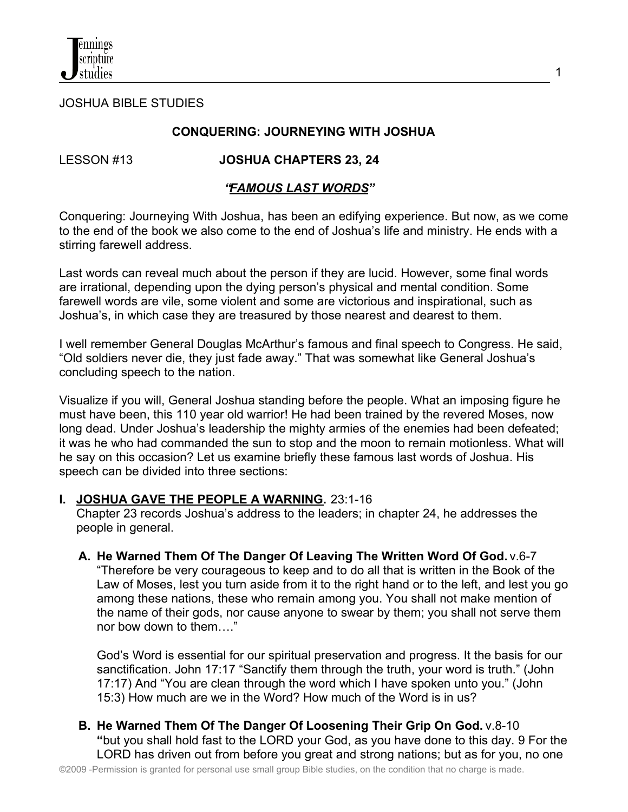JOSHUA BIBLE STUDIES

### **CONQUERING: JOURNEYING WITH JOSHUA**

### LESSON #13 **JOSHUA CHAPTERS 23, 24**

### *"FAMOUS LAST WORDS"*

Conquering: Journeying With Joshua, has been an edifying experience. But now, as we come to the end of the book we also come to the end of Joshua's life and ministry. He ends with a stirring farewell address.

Last words can reveal much about the person if they are lucid. However, some final words are irrational, depending upon the dying person's physical and mental condition. Some farewell words are vile, some violent and some are victorious and inspirational, such as Joshua's, in which case they are treasured by those nearest and dearest to them.

I well remember General Douglas McArthur's famous and final speech to Congress. He said, "Old soldiers never die, they just fade away." That was somewhat like General Joshua's concluding speech to the nation.

Visualize if you will, General Joshua standing before the people. What an imposing figure he must have been, this 110 year old warrior! He had been trained by the revered Moses, now long dead. Under Joshua's leadership the mighty armies of the enemies had been defeated; it was he who had commanded the sun to stop and the moon to remain motionless. What will he say on this occasion? Let us examine briefly these famous last words of Joshua. His speech can be divided into three sections:

### **I. JOSHUA GAVE THE PEOPLE A WARNING.** 23:1-16

 Chapter 23 records Joshua's address to the leaders; in chapter 24, he addresses the people in general.

### **A. He Warned Them Of The Danger Of Leaving The Written Word Of God.** v.6-7

"Therefore be very courageous to keep and to do all that is written in the Book of the Law of Moses, lest you turn aside from it to the right hand or to the left, and lest you go among these nations, these who remain among you. You shall not make mention of the name of their gods, nor cause anyone to swear by them; you shall not serve them nor bow down to them…."

God's Word is essential for our spiritual preservation and progress. It the basis for our sanctification. John 17:17 "Sanctify them through the truth, your word is truth." (John 17:17) And "You are clean through the word which I have spoken unto you." (John 15:3) How much are we in the Word? How much of the Word is in us?

**B. He Warned Them Of The Danger Of Loosening Their Grip On God.** v.8-10 **"**but you shall hold fast to the LORD your God, as you have done to this day. 9 For the LORD has driven out from before you great and strong nations; but as for you, no one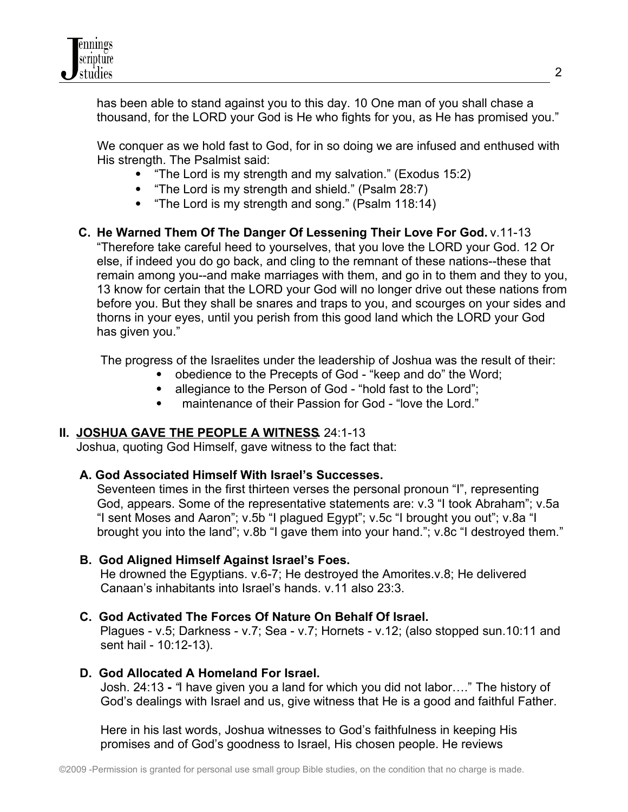

has been able to stand against you to this day. 10 One man of you shall chase a thousand, for the LORD your God is He who fights for you, as He has promised you."

 We conquer as we hold fast to God, for in so doing we are infused and enthused with His strength. The Psalmist said:

- "The Lord is my strength and my salvation." (Exodus 15:2)
- "The Lord is my strength and shield." (Psalm 28:7)
- "The Lord is my strength and song." (Psalm 118:14)

# **C. He Warned Them Of The Danger Of Lessening Their Love For God.** v.11-13

"Therefore take careful heed to yourselves, that you love the LORD your God. 12 Or else, if indeed you do go back, and cling to the remnant of these nations--these that remain among you--and make marriages with them, and go in to them and they to you, 13 know for certain that the LORD your God will no longer drive out these nations from before you. But they shall be snares and traps to you, and scourges on your sides and thorns in your eyes, until you perish from this good land which the LORD your God has given you."

The progress of the Israelites under the leadership of Joshua was the result of their:

- obedience to the Precepts of God "keep and do" the Word;
- allegiance to the Person of God "hold fast to the Lord";
- maintenance of their Passion for God "love the Lord."

## **II. JOSHUA GAVE THE PEOPLE A WITNESS.** 24:1-13

Joshua, quoting God Himself, gave witness to the fact that:

## **A. God Associated Himself With Israel's Successes.**

Seventeen times in the first thirteen verses the personal pronoun "I", representing God, appears. Some of the representative statements are: v.3 "I took Abraham"; v.5a "I sent Moses and Aaron"; v.5b "I plagued Egypt"; v.5c "I brought you out"; v.8a "I brought you into the land"; v.8b "I gave them into your hand."; v.8c "I destroyed them."

## **B. God Aligned Himself Against Israel's Foes.**

He drowned the Egyptians. v.6-7; He destroyed the Amorites.v.8; He delivered Canaan's inhabitants into Israel's hands. v.11 also 23:3.

## **C. God Activated The Forces Of Nature On Behalf Of Israel.**

Plagues - v.5; Darkness - v.7; Sea - v.7; Hornets - v.12; (also stopped sun.10:11 and sent hail - 10:12-13).

## **D. God Allocated A Homeland For Israel.**

 Josh. 24:13 **-** *"*I have given you a land for which you did not labor…." The history of God's dealings with Israel and us, give witness that He is a good and faithful Father.

 Here in his last words, Joshua witnesses to God's faithfulness in keeping His promises and of God's goodness to Israel, His chosen people. He reviews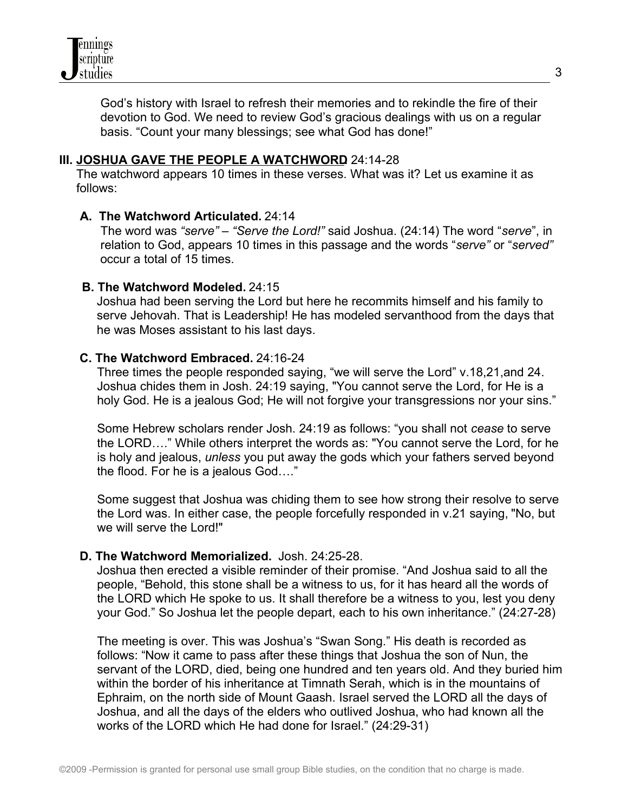

 God's history with Israel to refresh their memories and to rekindle the fire of their devotion to God. We need to review God's gracious dealings with us on a regular basis. "Count your many blessings; see what God has done!"

#### **III. JOSHUA GAVE THE PEOPLE A WATCHWORD 24:14-28**

 The watchword appears 10 times in these verses. What was it? Let us examine it as follows:

#### **A. The Watchword Articulated.** 24:14

 The word was *"serve" – "Serve the Lord!"* said Joshua. (24:14) The word "*serve*", in relation to God, appears 10 times in this passage and the words "*serve"* or "*served"* occur a total of 15 times.

#### **B. The Watchword Modeled.** 24:15

Joshua had been serving the Lord but here he recommits himself and his family to serve Jehovah. That is Leadership! He has modeled servanthood from the days that he was Moses assistant to his last days.

#### **C. The Watchword Embraced.** 24:16-24

 Three times the people responded saying, "we will serve the Lord" v.18,21,and 24. Joshua chides them in Josh. 24:19 saying, "You cannot serve the Lord, for He is a holy God. He is a jealous God; He will not forgive your transgressions nor your sins."

 Some Hebrew scholars render Josh. 24:19 as follows: "you shall not *cease* to serve the LORD…." While others interpret the words as: "You cannot serve the Lord, for he is holy and jealous, *unless* you put away the gods which your fathers served beyond the flood. For he is a jealous God…."

 Some suggest that Joshua was chiding them to see how strong their resolve to serve the Lord was. In either case, the people forcefully responded in v.21 saying, "No, but we will serve the Lord!"

#### **D. The Watchword Memorialized.** Josh. 24:25-28.

 Joshua then erected a visible reminder of their promise. "And Joshua said to all the people, "Behold, this stone shall be a witness to us, for it has heard all the words of the LORD which He spoke to us. It shall therefore be a witness to you, lest you deny your God." So Joshua let the people depart, each to his own inheritance." (24:27-28)

 The meeting is over. This was Joshua's "Swan Song." His death is recorded as follows: "Now it came to pass after these things that Joshua the son of Nun, the servant of the LORD, died, being one hundred and ten years old. And they buried him within the border of his inheritance at Timnath Serah, which is in the mountains of Ephraim, on the north side of Mount Gaash. Israel served the LORD all the days of Joshua, and all the days of the elders who outlived Joshua, who had known all the works of the LORD which He had done for Israel." (24:29-31)